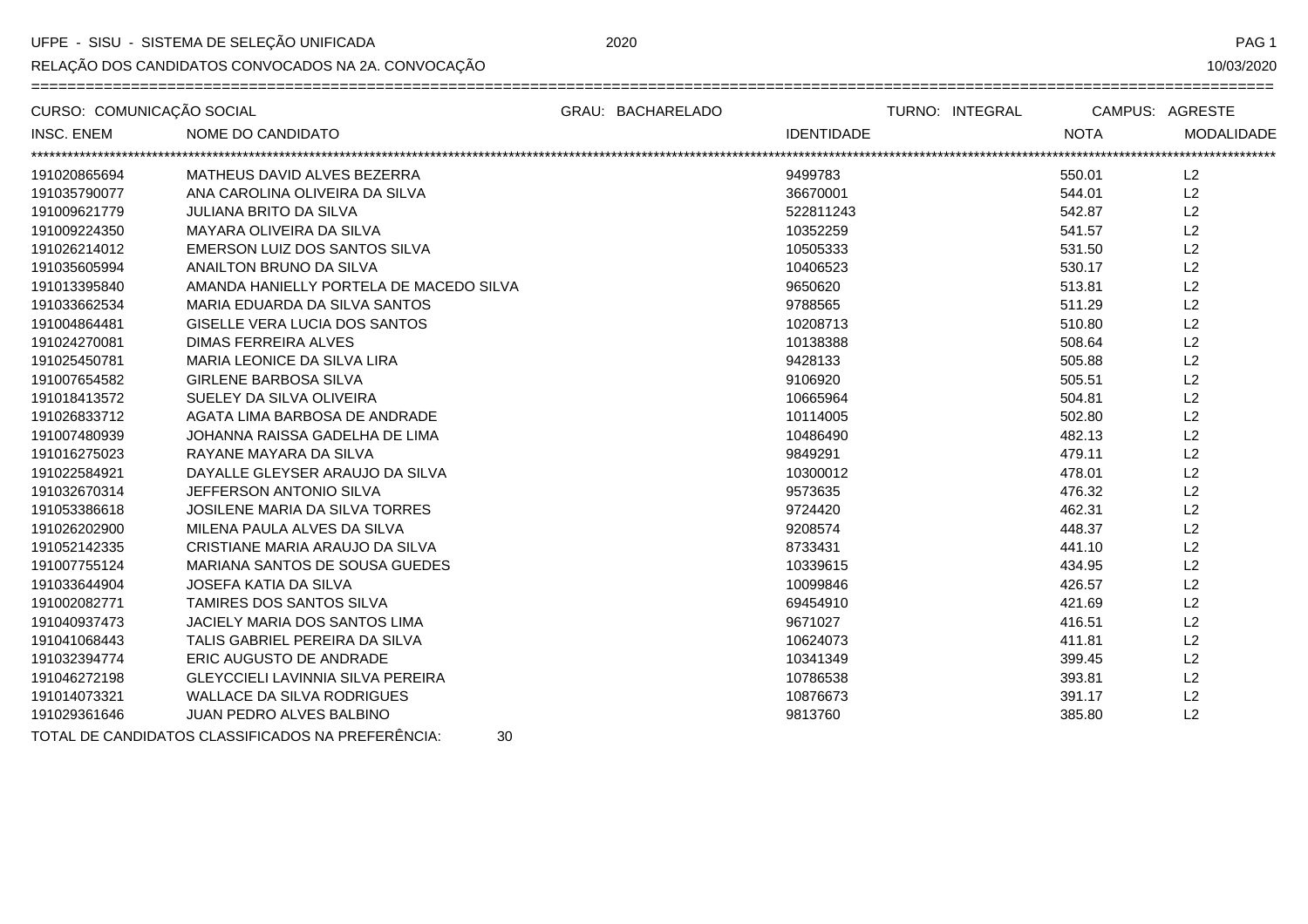UFPE - SISU - SISTEMA DE SELEÇÃO UNIFICADA

RELAÇÃO DOS CANDIDATOS CONVOCADOS NA 2A. CONVOCAÇÃO

PAG<sub>1</sub>

| CURSO: COMUNICAÇÃO SOCIAL |                                                         | GRAU: BACHARELADO | TURNO: INTEGRAL   | CAMPUS: AGRESTE |            |
|---------------------------|---------------------------------------------------------|-------------------|-------------------|-----------------|------------|
| <b>INSC. ENEM</b>         | NOME DO CANDIDATO                                       |                   | <b>IDENTIDADE</b> | <b>NOTA</b>     | MODALIDADE |
| 191020865694              | MATHEUS DAVID ALVES BEZERRA                             |                   | 9499783           | 550.01          | L2         |
| 191035790077              | ANA CAROLINA OLIVEIRA DA SILVA                          |                   | 36670001          | 544.01          | L2         |
| 191009621779              | <b>JULIANA BRITO DA SILVA</b>                           |                   | 522811243         | 542.87          | L2         |
| 191009224350              | MAYARA OLIVEIRA DA SILVA                                |                   | 10352259          | 541.57          | L2         |
| 191026214012              | EMERSON LUIZ DOS SANTOS SILVA                           |                   | 10505333          | 531.50          | L2         |
| 191035605994              | ANAILTON BRUNO DA SILVA                                 |                   | 10406523          | 530.17          | L2         |
| 191013395840              | AMANDA HANIELLY PORTELA DE MACEDO SILVA                 |                   | 9650620           | 513.81          | L2         |
| 191033662534              | MARIA EDUARDA DA SILVA SANTOS                           |                   | 9788565           | 511.29          | L2         |
| 191004864481              | <b>GISELLE VERA LUCIA DOS SANTOS</b>                    |                   | 10208713          | 510.80          | L2         |
| 191024270081              | <b>DIMAS FERREIRA ALVES</b>                             |                   | 10138388          | 508.64          | L2         |
| 191025450781              | MARIA LEONICE DA SILVA LIRA                             |                   | 9428133           | 505.88          | L2         |
| 191007654582              | <b>GIRLENE BARBOSA SILVA</b>                            |                   | 9106920           | 505.51          | L2         |
| 191018413572              | SUELEY DA SILVA OLIVEIRA                                |                   | 10665964          | 504.81          | L2         |
| 191026833712              | AGATA LIMA BARBOSA DE ANDRADE                           |                   | 10114005          | 502.80          | L2         |
| 191007480939              | JOHANNA RAISSA GADELHA DE LIMA                          |                   | 10486490          | 482.13          | L2         |
| 191016275023              | RAYANE MAYARA DA SILVA                                  |                   | 9849291           | 479.11          | L2         |
| 191022584921              | DAYALLE GLEYSER ARAUJO DA SILVA                         |                   | 10300012          | 478.01          | L2         |
| 191032670314              | JEFFERSON ANTONIO SILVA                                 |                   | 9573635           | 476.32          | L2         |
| 191053386618              | <b>JOSILENE MARIA DA SILVA TORRES</b>                   |                   | 9724420           | 462.31          | L2         |
| 191026202900              | MILENA PAULA ALVES DA SILVA                             |                   | 9208574           | 448.37          | L2         |
| 191052142335              | CRISTIANE MARIA ARAUJO DA SILVA                         |                   | 8733431           | 441.10          | L2         |
| 191007755124              | MARIANA SANTOS DE SOUSA GUEDES                          |                   | 10339615          | 434.95          | L2         |
| 191033644904              | <b>JOSEFA KATIA DA SILVA</b>                            |                   | 10099846          | 426.57          | L2         |
| 191002082771              | TAMIRES DOS SANTOS SILVA                                |                   | 69454910          | 421.69          | L2         |
| 191040937473              | JACIELY MARIA DOS SANTOS LIMA                           |                   | 9671027           | 416.51          | L2         |
| 191041068443              | TALIS GABRIEL PEREIRA DA SILVA                          |                   | 10624073          | 411.81          | L2         |
| 191032394774              | ERIC AUGUSTO DE ANDRADE                                 |                   | 10341349          | 399.45          | L2         |
| 191046272198              | <b>GLEYCCIELI LAVINNIA SILVA PEREIRA</b>                |                   | 10786538          | 393.81          | L2         |
| 191014073321              | <b>WALLACE DA SILVA RODRIGUES</b>                       |                   | 10876673          | 391.17          | L2         |
| 191029361646              | JUAN PEDRO ALVES BALBINO                                |                   | 9813760           | 385.80          | L2         |
|                           | TOTAL DE CANDIDATOS CLASSIFICADOS NA PREFERÊNCIA:<br>30 |                   |                   |                 |            |

30

2020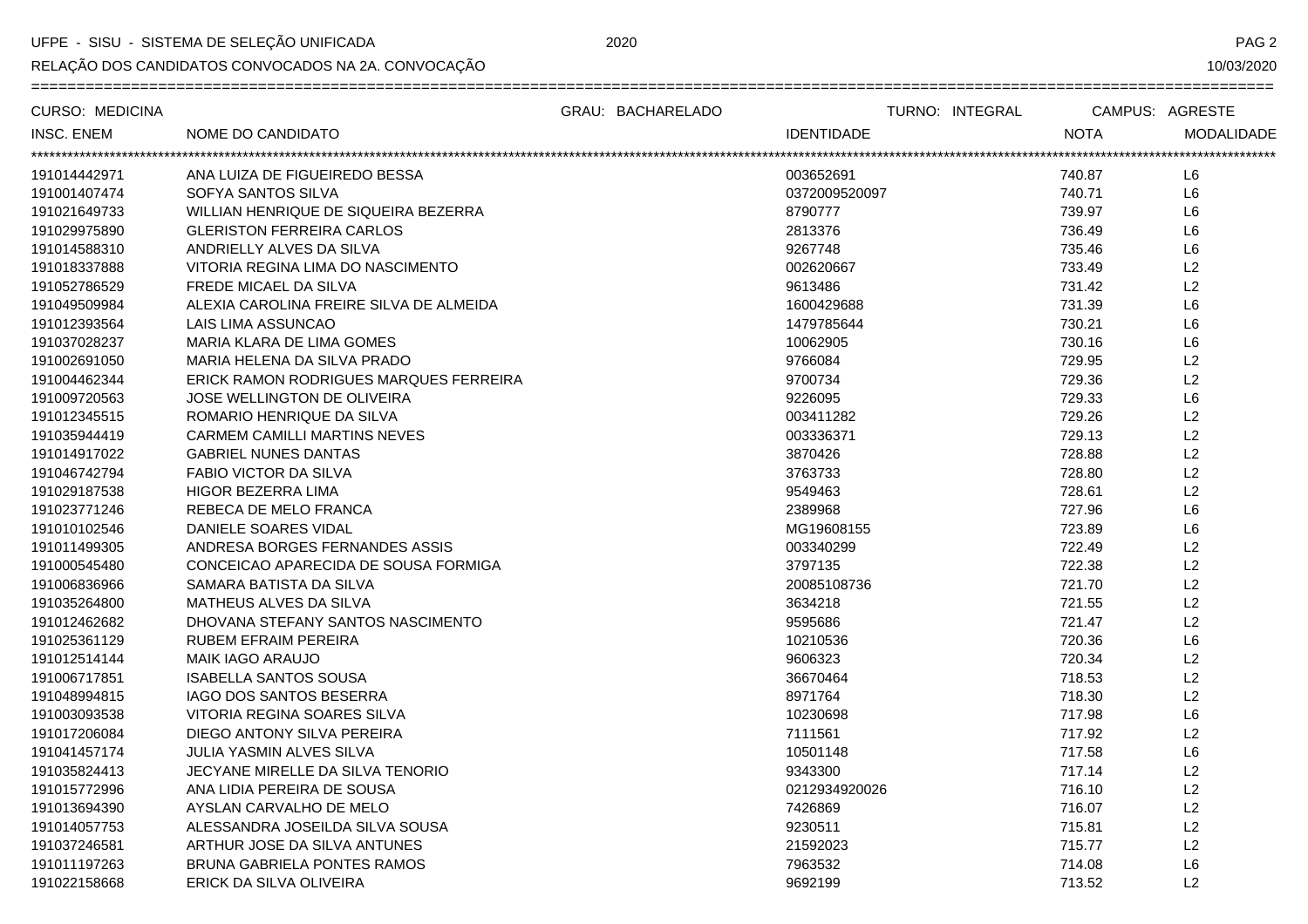UFPE - SISU - SISTEMA DE SELEÇÃO UNIFICADA

RELAÇÃO DOS CANDIDATOS CONVOCADOS NA 2A. CONVOCAÇÃO

PAG<sub>2</sub>

| <b>CURSO: MEDICINA</b> |                                         | GRAU: BACHARELADO | TURNO: INTEGRAL   |             | CAMPUS: AGRESTE   |
|------------------------|-----------------------------------------|-------------------|-------------------|-------------|-------------------|
| <b>INSC. ENEM</b>      | NOME DO CANDIDATO                       |                   | <b>IDENTIDADE</b> | <b>NOTA</b> | <b>MODALIDADE</b> |
|                        |                                         |                   |                   |             |                   |
| 191014442971           | ANA LUIZA DE FIGUEIREDO BESSA           |                   | 003652691         | 740.87      | L <sub>6</sub>    |
| 191001407474           | SOFYA SANTOS SILVA                      |                   | 0372009520097     | 740.71      | L6                |
| 191021649733           | WILLIAN HENRIQUE DE SIQUEIRA BEZERRA    |                   | 8790777           | 739.97      | L6                |
| 191029975890           | <b>GLERISTON FERREIRA CARLOS</b>        |                   | 2813376           | 736.49      | L6                |
| 191014588310           | ANDRIELLY ALVES DA SILVA                |                   | 9267748           | 735.46      | L <sub>6</sub>    |
| 191018337888           | VITORIA REGINA LIMA DO NASCIMENTO       |                   | 002620667         | 733.49      | L2                |
| 191052786529           | FREDE MICAEL DA SILVA                   |                   | 9613486           | 731.42      | L2                |
| 191049509984           | ALEXIA CAROLINA FREIRE SILVA DE ALMEIDA |                   | 1600429688        | 731.39      | L6                |
| 191012393564           | LAIS LIMA ASSUNCAO                      |                   | 1479785644        | 730.21      | L6                |
| 191037028237           | MARIA KLARA DE LIMA GOMES               |                   | 10062905          | 730.16      | L6                |
| 191002691050           | MARIA HELENA DA SILVA PRADO             |                   | 9766084           | 729.95      | L2                |
| 191004462344           | ERICK RAMON RODRIGUES MARQUES FERREIRA  |                   | 9700734           | 729.36      | L2                |
| 191009720563           | JOSE WELLINGTON DE OLIVEIRA             |                   | 9226095           | 729.33      | L6                |
| 191012345515           | ROMARIO HENRIQUE DA SILVA               |                   | 003411282         | 729.26      | L2                |
| 191035944419           | <b>CARMEM CAMILLI MARTINS NEVES</b>     |                   | 003336371         | 729.13      | L2                |
| 191014917022           | <b>GABRIEL NUNES DANTAS</b>             |                   | 3870426           | 728.88      | L2                |
| 191046742794           | <b>FABIO VICTOR DA SILVA</b>            |                   | 3763733           | 728.80      | L2                |
| 191029187538           | HIGOR BEZERRA LIMA                      |                   | 9549463           | 728.61      | L2                |
| 191023771246           | REBECA DE MELO FRANCA                   |                   | 2389968           | 727.96      | L6                |
| 191010102546           | DANIELE SOARES VIDAL                    |                   | MG19608155        | 723.89      | L <sub>6</sub>    |
| 191011499305           | ANDRESA BORGES FERNANDES ASSIS          |                   | 003340299         | 722.49      | L2                |
| 191000545480           | CONCEICAO APARECIDA DE SOUSA FORMIGA    |                   | 3797135           | 722.38      | L2                |
| 191006836966           | SAMARA BATISTA DA SILVA                 |                   | 20085108736       | 721.70      | L2                |
| 191035264800           | MATHEUS ALVES DA SILVA                  |                   | 3634218           | 721.55      | L2                |
| 191012462682           | DHOVANA STEFANY SANTOS NASCIMENTO       |                   | 9595686           | 721.47      | L2                |
| 191025361129           | <b>RUBEM EFRAIM PEREIRA</b>             |                   | 10210536          | 720.36      | L <sub>6</sub>    |
| 191012514144           | <b>MAIK IAGO ARAUJO</b>                 |                   | 9606323           | 720.34      | L2                |
| 191006717851           | <b>ISABELLA SANTOS SOUSA</b>            |                   | 36670464          | 718.53      | L2                |
| 191048994815           | <b>IAGO DOS SANTOS BESERRA</b>          |                   | 8971764           | 718.30      | L2                |
| 191003093538           | VITORIA REGINA SOARES SILVA             |                   | 10230698          | 717.98      | L6                |
| 191017206084           | DIEGO ANTONY SILVA PEREIRA              |                   | 7111561           | 717.92      | L2                |
| 191041457174           | JULIA YASMIN ALVES SILVA                |                   | 10501148          | 717.58      | L6                |
| 191035824413           | JECYANE MIRELLE DA SILVA TENORIO        |                   | 9343300           | 717.14      | L2                |
| 191015772996           | ANA LIDIA PEREIRA DE SOUSA              |                   | 0212934920026     | 716.10      | L2                |
| 191013694390           | AYSLAN CARVALHO DE MELO                 |                   | 7426869           | 716.07      | L2                |
| 191014057753           | ALESSANDRA JOSEILDA SILVA SOUSA         |                   | 9230511           | 715.81      | L2                |
| 191037246581           | ARTHUR JOSE DA SILVA ANTUNES            |                   | 21592023          | 715.77      | L2                |
| 191011197263           | <b>BRUNA GABRIELA PONTES RAMOS</b>      |                   | 7963532           | 714.08      | L <sub>6</sub>    |
| 191022158668           | ERICK DA SILVA OLIVEIRA                 |                   | 9692199           | 713.52      | L2                |

2020